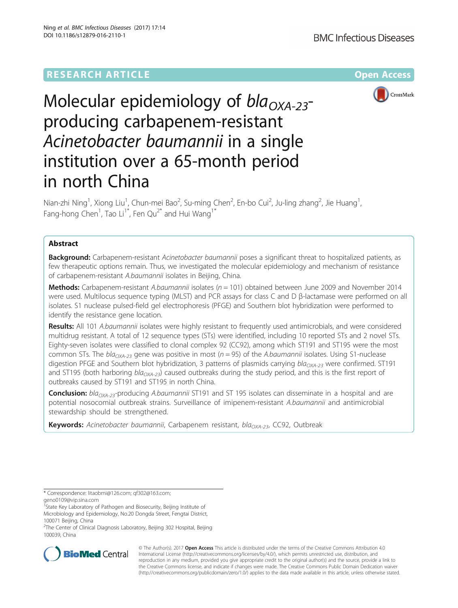# **RESEARCH ARTICLE Example 2018 12:00 Department of the Contract Open Access**



# Molecular epidemiology of  $bla_{OXA-23}$ producing carbapenem-resistant Acinetobacter baumannii in a single institution over a 65-month period in north China

Nian-zhi Ning<sup>1</sup>, Xiong Liu<sup>1</sup>, Chun-mei Bao<sup>2</sup>, Su-ming Chen<sup>2</sup>, En-bo Cui<sup>2</sup>, Ju-ling zhang<sup>2</sup>, Jie Huang<sup>1</sup> , Fang-hong Chen<sup>1</sup>, Tao Li<sup>1\*</sup>, Fen Qu<sup>2\*</sup> and Hui Wang<sup>1\*</sup>

# Abstract

**Background:** Carbapenem-resistant Acinetobacter baumannii poses a significant threat to hospitalized patients, as few therapeutic options remain. Thus, we investigated the molecular epidemiology and mechanism of resistance of carbapenem-resistant A.baumannii isolates in Beijing, China.

**Methods:** Carbapenem-resistant A.baumannii isolates ( $n = 101$ ) obtained between June 2009 and November 2014 were used. Multilocus sequence typing (MLST) and PCR assays for class C and D β-lactamase were performed on all isolates. S1 nuclease pulsed-field gel electrophoresis (PFGE) and Southern blot hybridization were performed to identify the resistance gene location.

Results: All 101 A.baumannii isolates were highly resistant to frequently used antimicrobials, and were considered multidrug resistant. A total of 12 sequence types (STs) were identified, including 10 reported STs and 2 novel STs. Eighty-seven isolates were classified to clonal complex 92 (CC92), among which ST191 and ST195 were the most common STs. The  $bI_{Q_{\chi A-23}}$  gene was positive in most ( $n = 95$ ) of the A.baumannii isolates. Using S1-nuclease digestion PFGE and Southern blot hybridization, 3 patterns of plasmids carrying  $bla_{OXA-23}$  were confirmed. ST191 and ST195 (both harboring bla<sub>OXA-23</sub>) caused outbreaks during the study period, and this is the first report of outbreaks caused by ST191 and ST195 in north China.

Conclusion: bla<sub>OXA-23</sub>-producing A.baumannii ST191 and ST 195 isolates can disseminate in a hospital and are potential nosocomial outbreak strains. Surveillance of imipenem-resistant A.baumannii and antimicrobial stewardship should be strengthened.

**Keywords:** Acinetobacter baumannii, Carbapenem resistant, bla<sub>OXA-23</sub>, CC92, Outbreak

\* Correspondence: [litaobmi@126.com;](mailto:litaobmi@126.com) [qf302@163.com;](mailto:qf302@163.com)

[geno0109@vip.sina.com](mailto:geno0109@vip.sina.com)

<sup>&</sup>lt;sup>2</sup>The Center of Clinical Diagnosis Laboratory, Beijing 302 Hospital, Beijing 100039, China



© The Author(s). 2017 **Open Access** This article is distributed under the terms of the Creative Commons Attribution 4.0 International License [\(http://creativecommons.org/licenses/by/4.0/](http://creativecommons.org/licenses/by/4.0/)), which permits unrestricted use, distribution, and reproduction in any medium, provided you give appropriate credit to the original author(s) and the source, provide a link to the Creative Commons license, and indicate if changes were made. The Creative Commons Public Domain Dedication waiver [\(http://creativecommons.org/publicdomain/zero/1.0/](http://creativecommons.org/publicdomain/zero/1.0/)) applies to the data made available in this article, unless otherwise stated.

<sup>&</sup>lt;sup>T</sup>State Key Laboratory of Pathogen and Biosecurity, Beijing Institute of Microbiology and Epidemiology, No.20 Dongda Street, Fengtai District, 100071 Beijing, China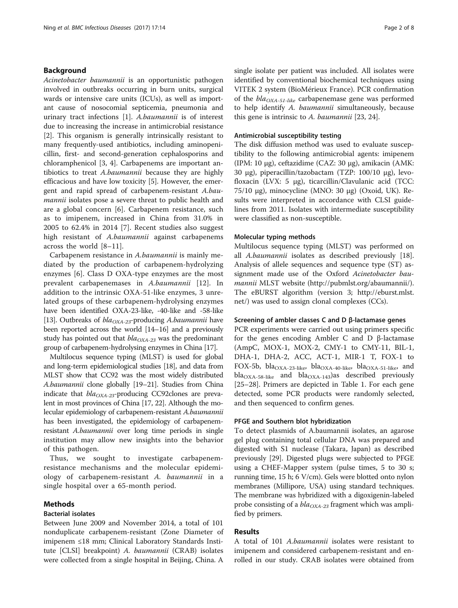# Background

Acinetobacter baumannii is an opportunistic pathogen involved in outbreaks occurring in burn units, surgical wards or intensive care units (ICUs), as well as important cause of nosocomial septicemia, pneumonia and urinary tract infections [\[1](#page-5-0)]. A.baumannii is of interest due to increasing the increase in antimicrobial resistance [[2\]](#page-5-0). This organism is generally intrinsically resistant to many frequently-used antibiotics, including aminopenicillin, first- and second-generation cephalosporins and chloramphenicol [\[3](#page-5-0), [4\]](#page-5-0). Carbapenems are important antibiotics to treat A.baumannii because they are highly efficacious and have low toxicity [\[5](#page-5-0)]. However, the emergent and rapid spread of carbapenem-resistant A.baumannii isolates pose a severe threat to public health and are a global concern [\[6](#page-5-0)]. Carbapenem resistance, such as to imipenem, increased in China from 31.0% in 2005 to 62.4% in 2014 [\[7](#page-6-0)]. Recent studies also suggest high resistant of A.baumannii against carbapenems across the world [\[8](#page-6-0)–[11](#page-6-0)].

Carbapenem resistance in A.baumannii is mainly mediated by the production of carbapenem-hydrolyzing enzymes [\[6](#page-5-0)]. Class D OXA-type enzymes are the most prevalent carbapenemases in A.baumannii [[12\]](#page-6-0). In addition to the intrinsic OXA-51-like enzymes, 3 unrelated groups of these carbapenem-hydrolysing enzymes have been identified OXA-23-like, -40-like and -58-like [[13](#page-6-0)]. Outbreaks of  $bla_{OXA-23}$ -producing A.baumannii have been reported across the world [[14](#page-6-0)–[16](#page-6-0)] and a previously study has pointed out that  $bla_{OXA-23}$  was the predominant group of carbapenem-hydrolysing enzymes in China [[17](#page-6-0)].

Multilocus sequence typing (MLST) is used for global and long-term epidemiological studies [[18](#page-6-0)], and data from MLST show that CC92 was the most widely distributed A.baumannii clone globally [\[19](#page-6-0)–[21\]](#page-6-0). Studies from China indicate that  $bla_{OXA-23}$ -producing CC92clones are prevalent in most provinces of China [\[17, 22](#page-6-0)]. Although the molecular epidemiology of carbapenem-resistant A.baumannii has been investigated, the epidemiology of carbapenemresistant A.baumannii over long time periods in single institution may allow new insights into the behavior of this pathogen.

Thus, we sought to investigate carbapenemresistance mechanisms and the molecular epidemiology of carbapenem-resistant A. baumannii in a single hospital over a 65-month period.

# Methods

## Bacterial isolates

Between June 2009 and November 2014, a total of 101 nonduplicate carbapenem-resistant (Zone Diameter of imipenem ≤18 mm; Clinical Laboratory Standards Institute [CLSI] breakpoint) A. baumannii (CRAB) isolates were collected from a single hospital in Beijing, China. A

single isolate per patient was included. All isolates were identified by conventional biochemical techniques using VITEK 2 system (BioMérieux France). PCR confirmation of the  $bla_{OXA-51-like}$  carbapenemase gene was performed to help identify A. baumannii simultaneously, because this gene is intrinsic to A. baumannii [\[23, 24\]](#page-6-0).

# Antimicrobial susceptibility testing

The disk diffusion method was used to evaluate susceptibility to the following antimicrobial agents: imipenem (IPM: 10 μg), ceftazidime (CAZ: 30 μg), amikacin (AMK: 30 μg), piperacillin/tazobactam (TZP: 100/10 μg), levofloxacin (LVX: 5 μg), ticarcillin/Clavulanic acid (TCC: 75/10 μg), minocycline (MNO: 30 μg) (Oxoid, UK). Results were interpreted in accordance with CLSI guidelines from 2011. Isolates with intermediate susceptibility were classified as non-susceptible.

# Molecular typing methods

Multilocus sequence typing (MLST) was performed on all A.baumannii isolates as described previously [\[18](#page-6-0)]. Analysis of allele sequences and sequence type (ST) assignment made use of the Oxford Acinetobacter baumannii MLST website [\(http://pubmlst.org/abaumannii/](http://pubmlst.org/abaumannii/)). The eBURST algorithm (version 3; [http://eburst.mlst.](http://eburst.mlst.net/) [net/](http://eburst.mlst.net/)) was used to assign clonal complexes (CCs).

## Screening of ambler classes C and D β-lactamase genes

PCR experiments were carried out using primers specific for the genes encoding Ambler C and D β-lactamase (AmpC, MOX-1, MOX-2, CMY-1 to CMY-11, BIL-1, DHA-1, DHA-2, ACC, ACT-1, MIR-1 T, FOX-1 to FOX-5b, bla<sub>OXA-23-like</sub>, bla<sub>OXA-40-like</sub>, bla<sub>OXA-51-like</sub>, and  $bla<sub>OXA-58-like</sub>$  and  $bla<sub>OXA-143</sub>$ )as described previously [[25](#page-6-0)–[28](#page-6-0)]. Primers are depicted in Table [1](#page-2-0). For each gene detected, some PCR products were randomly selected, and then sequenced to confirm genes.

# PFGE and Southern blot hybridization

To detect plasmids of A.baumannii isolates, an agarose gel plug containing total cellular DNA was prepared and digested with S1 nuclease (Takara, Japan) as described previously [\[29](#page-6-0)]. Digested plugs were subjected to PFGE using a CHEF-Mapper system (pulse times, 5 to 30 s; running time, 15 h; 6 V/cm). Gels were blotted onto nylon membranes (Millipore, USA) using standard techniques. The membrane was hybridized with a digoxigenin-labeled probe consisting of a  $bla_{OXA-23}$  fragment which was amplified by primers.

# Results

A total of 101 A.baumannii isolates were resistant to imipenem and considered carbapenem-resistant and enrolled in our study. CRAB isolates were obtained from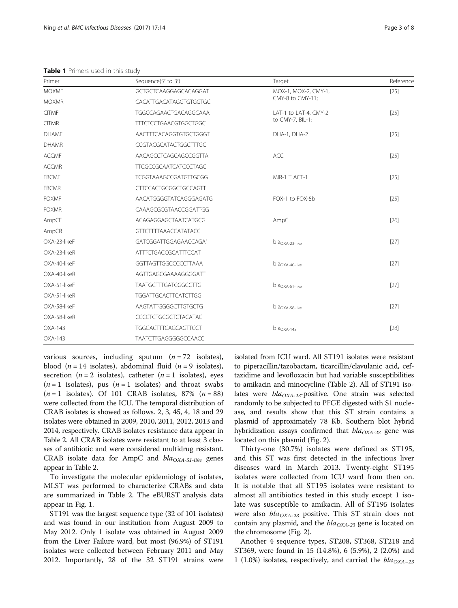<span id="page-2-0"></span>Table 1 Primers used in this study

| Primer       | Sequence(5' to 3')                        | Target                | Reference |  |
|--------------|-------------------------------------------|-----------------------|-----------|--|
| <b>MOXMF</b> | GCTGCTCAAGGAGCACAGGAT                     | MOX-1, MOX-2, CMY-1,  | $[25]$    |  |
| <b>MOXMR</b> | CACATTGACATAGGTGTGGTGC                    | CMY-8 to CMY-11;      |           |  |
| <b>CITMF</b> | TGGCCAGAACTGACAGGCAAA                     | LAT-1 to LAT-4, CMY-2 | $[25]$    |  |
| <b>CITMR</b> | <b>TTTCTCCTGAACGTGGCTGGC</b>              | to CMY-7, BIL-1;      |           |  |
| <b>DHAMF</b> | AACTTTCACAGGTGTGCTGGGT                    | DHA-1, DHA-2          | $[25]$    |  |
| <b>DHAMR</b> | CCGTACGCATACTGGCTTTGC                     |                       |           |  |
| <b>ACCMF</b> | AACAGCCTCAGCAGCCGGTTA                     | <b>ACC</b>            | $[25]$    |  |
| <b>ACCMR</b> | <b>TTCGCCGCAATCATCCCTAGC</b>              |                       |           |  |
| <b>EBCMF</b> | TCGGTAAAGCCGATGTTGCGG                     | MIR-1 T ACT-1         | $[25]$    |  |
| <b>EBCMR</b> | <b>CTTCCACTGCGGCTGCCAGTT</b>              |                       |           |  |
| <b>FOXMF</b> | AACATGGGGTATCAGGGAGATG<br>FOX-1 to FOX-5b |                       | $[25]$    |  |
| <b>FOXMR</b> | CAAAGCGCGTAACCGGATTGG                     |                       |           |  |
| AmpCF        | ACAGAGGAGCTAATCATGCG                      | AmpC                  | $[26]$    |  |
| AmpCR        | <b>GTTCTTTTAAACCATATACC</b>               |                       |           |  |
| OXA-23-likeF | GATCGGATTGGAGAACCAGA'                     | $bla_{OXA-23-like}$   | $[27]$    |  |
| OXA-23-likeR | <b>ATTTCTGACCGCATTTCCAT</b>               |                       |           |  |
| OXA-40-likeF | GGTTAGTTGGCCCCCTTAAA                      | $bla_{OXA-40-like}$   | $[27]$    |  |
| OXA-40-likeR | AGTTGAGCGAAAAGGGGATT                      |                       |           |  |
| OXA-51-likeF | <b>TAATGCTTTGATCGGCCTTG</b>               | $blaOXA-51-like$      | $[27]$    |  |
| OXA-51-likeR | <b>TGGATTGCACTTCATCTTGG</b>               |                       |           |  |
| OXA-58-likeF | AAGTATTGGGGCTTGTGCTG                      | $blaOXA-58-like$      | $[27]$    |  |
| OXA-58-likeR | CCCCTCTGCGCTCTACATAC                      |                       |           |  |
| OXA-143      | <b>TGGCACTTTCAGCAGTTCCT</b>               | $blaOXA-143$          | $[28]$    |  |
| OXA-143      | TAATCTTGAGGGGGCCAACC                      |                       |           |  |

various sources, including sputum  $(n = 72$  isolates), blood (*n* = 14 isolates), abdominal fluid (*n* = 9 isolates), secretion ( $n = 2$  isolates), catheter ( $n = 1$  isolates), eyes  $(n=1$  isolates), pus  $(n=1$  isolates) and throat swabs  $(n=1$  isolates). Of 101 CRAB isolates, 87%  $(n=88)$ were collected from the ICU. The temporal distribution of CRAB isolates is showed as follows. 2, 3, 45, 4, 18 and 29 isolates were obtained in 2009, 2010, 2011, 2012, 2013 and 2014, respectively. CRAB isolates resistance data appear in Table [2.](#page-3-0) All CRAB isolates were resistant to at least 3 classes of antibiotic and were considered multidrug resistant. CRAB isolate data for AmpC and  $bla_{OXA-51-like}$  genes appear in Table [2.](#page-3-0)

To investigate the molecular epidemiology of isolates, MLST was performed to characterize CRABs and data are summarized in Table [2.](#page-3-0) The eBURST analysis data appear in Fig. [1](#page-3-0).

ST191 was the largest sequence type (32 of 101 isolates) and was found in our institution from August 2009 to May 2012. Only 1 isolate was obtained in August 2009 from the Liver Failure ward, but most (96.9%) of ST191 isolates were collected between February 2011 and May 2012. Importantly, 28 of the 32 ST191 strains were

isolated from ICU ward. All ST191 isolates were resistant to piperacillin/tazobactam, ticarcillin/clavulanic acid, ceftazidime and levofloxacin but had variable susceptibilities to amikacin and minocycline (Table [2](#page-3-0)). All of ST191 isolates were  $bla_{OXA-23}$ -positive. One strain was selected randomly to be subjected to PFGE digested with S1 nuclease, and results show that this ST strain contains a plasmid of approximately 78 Kb. Southern blot hybrid hybridization assays confirmed that  $bla_{OXA-23}$  gene was located on this plasmid (Fig. [2\)](#page-4-0).

Thirty-one (30.7%) isolates were defined as ST195, and this ST was first detected in the infectious liver diseases ward in March 2013. Twenty-eight ST195 isolates were collected from ICU ward from then on. It is notable that all ST195 isolates were resistant to almost all antibiotics tested in this study except 1 isolate was susceptible to amikacin. All of ST195 isolates were also  $bla_{OXA-23}$  positive. This ST strain does not contain any plasmid, and the  $bla_{OXA-23}$  gene is located on the chromosome (Fig. [2\)](#page-4-0).

Another 4 sequence types, ST208, ST368, ST218 and ST369, were found in 15 (14.8%), 6 (5.9%), 2 (2.0%) and 1 (1.0%) isolates, respectively, and carried the  $bla_{OXA-23}$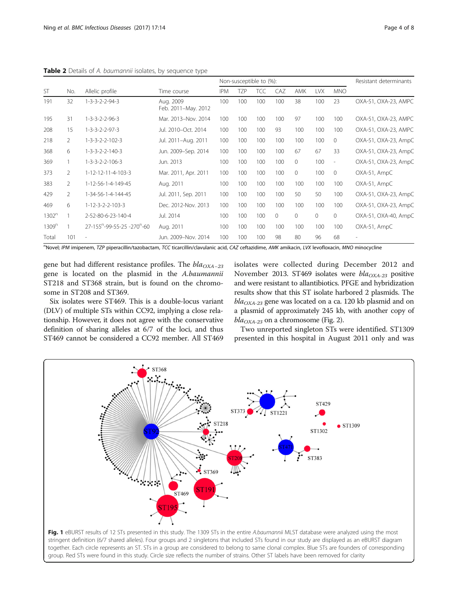<span id="page-3-0"></span>Table 2 Details of A. baumannii isolates, by sequence type

|                   | No.            | Allelic profile                                     | Time course                      | Non-susceptible to (%): |            |            |     |              |            | Resistant determinants |                      |
|-------------------|----------------|-----------------------------------------------------|----------------------------------|-------------------------|------------|------------|-----|--------------|------------|------------------------|----------------------|
| <b>ST</b>         |                |                                                     |                                  | <b>IPM</b>              | <b>TZP</b> | <b>TCC</b> | CAZ | AMK          | <b>LVX</b> | <b>MNO</b>             |                      |
| 191               | 32             | $1 - 3 - 3 - 2 - 2 - 94 - 3$                        | Aug. 2009<br>Feb. 2011-May. 2012 | 100                     | 100        | 100        | 100 | 38           | 100        | 23                     | OXA-51, OXA-23, AMPC |
| 195               | 31             | $1 - 3 - 3 - 2 - 2 - 96 - 3$                        | Mar. 2013-Nov. 2014              | 100                     | 100        | 100        | 100 | 97           | 100        | 100                    | OXA-51, OXA-23, AMPC |
| 208               | 15             | $1 - 3 - 3 - 2 - 2 - 97 - 3$                        | Jul. 2010-Oct. 2014              | 100                     | 100        | 100        | 93  | 100          | 100        | 100                    | OXA-51, OXA-23, AMPC |
| 218               | $\overline{2}$ | $1 - 3 - 3 - 2 - 2 - 102 - 3$                       | Jul. 2011-Aug. 2011              | 100                     | 100        | 100        | 100 | 100          | 100        | $\Omega$               | OXA-51, OXA-23, AmpC |
| 368               | 6              | $1 - 3 - 3 - 2 - 2 - 140 - 3$                       | Jun. 2009-Sep. 2014              | 100                     | 100        | 100        | 100 | 67           | 67         | 33                     | OXA-51, OXA-23, AmpC |
| 369               |                | $1 - 3 - 3 - 2 - 2 - 106 - 3$                       | Jun. 2013                        | 100                     | 100        | 100        | 100 | $\mathbf{0}$ | 100        | $\sim$                 | OXA-51, OXA-23, AmpC |
| 373               | $\overline{2}$ | 1-12-12-11-4-103-3                                  | Mar. 2011, Apr. 2011             | 100                     | 100        | 100        | 100 | $\circ$      | 100        | $\overline{0}$         | OXA-51, AmpC         |
| 383               | 2              | 1-12-56-1-4-149-45                                  | Aug. 2011                        | 100                     | 100        | 100        | 100 | 100          | 100        | 100                    | OXA-51, AmpC         |
| 429               | $\overline{2}$ | 1-34-56-1-4-144-45                                  | Jul. 2011, Sep. 2011             | 100                     | 100        | 100        | 100 | 50           | 50         | 100                    | OXA-51, OXA-23, AmpC |
| 469               | 6              | $1 - 12 - 3 - 2 - 2 - 103 - 3$                      | Dec. 2012-Nov. 2013              | 100                     | 100        | 100        | 100 | 100          | 100        | 100                    | OXA-51, OXA-23, AmpC |
| 1302 <sup>n</sup> |                | 2-52-80-6-23-140-4                                  | Jul. 2014                        | 100                     | 100        | 100        | 0   | $\Omega$     | $\circ$    | $\mathbf{0}$           | OXA-51, OXA-40, AmpC |
| 1309 <sup>n</sup> |                | 27-155 <sup>n</sup> -99-55-25 -270 <sup>n</sup> -60 | Aug. 2011                        | 100                     | 100        | 100        | 100 | 100          | 100        | 100                    | OXA-51, AmpC         |
| Total             | 101            |                                                     | Jun. 2009-Nov. 2014              | 100                     | 100        | 100        | 98  | 80           | 96         | 68                     |                      |

Novel; IPM imipenem, TZP piperacillin/tazobactam, TCC ticarcillin/clavulanic acid, CAZ ceftazidime, AMK amikacin, LVX levofloxacin, MNO minocycline

gene but had different resistance profiles. The  $bla_{OXA-23}$ gene is located on the plasmid in the A.baumannii ST218 and ST368 strain, but is found on the chromosome in ST208 and ST369.

Six isolates were ST469. This is a double-locus variant (DLV) of multiple STs within CC92, implying a close relationship. However, it does not agree with the conservative definition of sharing alleles at 6/7 of the loci, and thus ST469 cannot be considered a CC92 member. All ST469

isolates were collected during December 2012 and November 2013. ST469 isolates were  $bla_{OXA-23}$  positive and were resistant to allantibiotics. PFGE and hybridization results show that this ST isolate harbored 2 plasmids. The  $bla_{OXA-23}$  gene was located on a ca. 120 kb plasmid and on a plasmid of approximately 245 kb, with another copy of  $bla_{OXA-23}$  on a chromosome (Fig. [2](#page-4-0)).

Two unreported singleton STs were identified. ST1309 presented in this hospital in August 2011 only and was

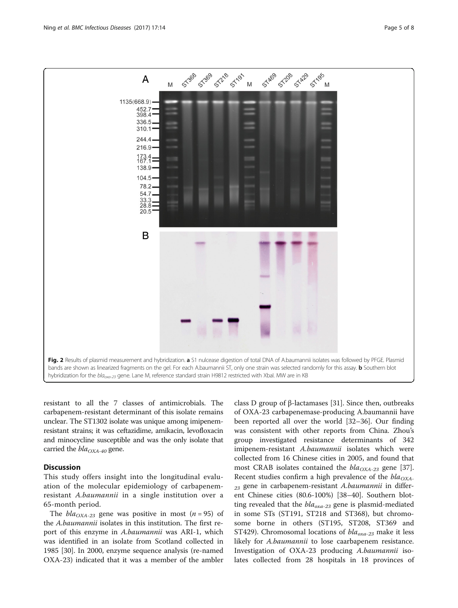<span id="page-4-0"></span>

resistant to all the 7 classes of antimicrobials. The carbapenem-resistant determinant of this isolate remains unclear. The ST1302 isolate was unique among imipenemresistant strains; it was ceftazidime, amikacin, levofloxacin and minocycline susceptible and was the only isolate that carried the  $bla_{OXA-40}$  gene.

# **Discussion**

This study offers insight into the longitudinal evaluation of the molecular epidemiology of carbapenemresistant A.baumannii in a single institution over a 65-month period.

The  $bla_{OXA-23}$  gene was positive in most (*n* = 95) of the A.baumannii isolates in this institution. The first report of this enzyme in A.baumannii was ARI-1, which was identified in an isolate from Scotland collected in 1985 [[30\]](#page-6-0). In 2000, enzyme sequence analysis (re-named OXA-23) indicated that it was a member of the ambler

class D group of β-lactamases [[31\]](#page-6-0). Since then, outbreaks of OXA-23 carbapenemase-producing A.baumannii have been reported all over the world [\[32](#page-6-0)–[36\]](#page-6-0). Our finding was consistent with other reports from China. Zhou's group investigated resistance determinants of 342 imipenem-resistant A.baumannii isolates which were collected from 16 Chinese cities in 2005, and found that most CRAB isolates contained the  $bla_{OXA-23}$  gene [\[37](#page-6-0)]. Recent studies confirm a high prevalence of the  $bla_{OXA}$ .  $_{23}$  gene in carbapenem-resistant A.baumannii in different Chinese cities (80.6-100%) [[38](#page-6-0)–[40](#page-6-0)]. Southern blotting revealed that the  $bla_{\alpha x a-23}$  gene is plasmid-mediated in some STs (ST191, ST218 and ST368), but chromosome borne in others (ST195, ST208, ST369 and ST429). Chromosomal locations of  $bla_{oxa-23}$  make it less likely for A.baumannii to lose caarbapenem resistance. Investigation of OXA-23 producing A.baumannii isolates collected from 28 hospitals in 18 provinces of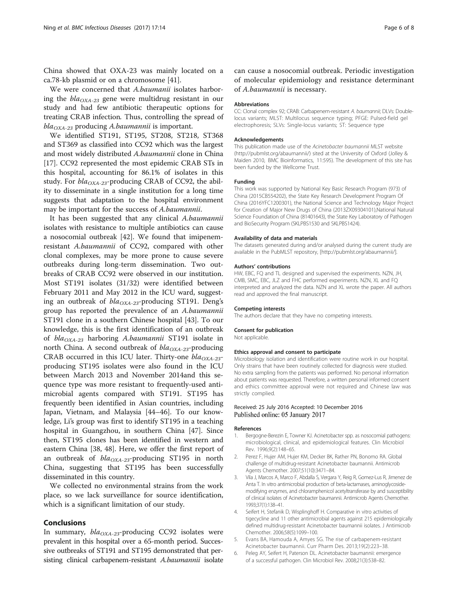<span id="page-5-0"></span>China showed that OXA-23 was mainly located on a ca.78-kb plasmid or on a chromosome [[41\]](#page-6-0).

We were concerned that A.baumanii isolates harboring the  $bla_{OX_{4-23}}$  gene were multidrug resistant in our study and had few antibiotic therapeutic options for treating CRAB infection. Thus, controlling the spread of  $bla_{OX_{4-23}}$  producing A.baumannii is important.

We identified ST191, ST195, ST208, ST218, ST368 and ST369 as classified into CC92 which was the largest and most widely distributed A.baumannii clone in China [[17\]](#page-6-0). CC92 represented the most epidemic CRAB STs in this hospital, accounting for 86.1% of isolates in this study. For  $bla_{OXA-23}$ -producing CRAB of CC92, the ability to disseminate in a single institution for a long time suggests that adaptation to the hospital environment may be important for the success of A.baumannii.

It has been suggested that any clinical A.baumannii isolates with resistance to multiple antibiotics can cause a nosocomial outbreak [[42](#page-6-0)]. We found that imipenemresistant A.baumannii of CC92, compared with other clonal complexes, may be more prone to cause severe outbreaks during long-term dissemination. Two outbreaks of CRAB CC92 were observed in our institution. Most ST191 isolates (31/32) were identified between February 2011 and May 2012 in the ICU ward, suggesting an outbreak of  $bla_{OXA-23}$ -producing ST191. Deng's group has reported the prevalence of an A.baumannii ST191 clone in a southern Chinese hospital [\[43](#page-6-0)]. To our knowledge, this is the first identification of an outbreak of  $bla_{OXA-23}$  harboring A.baumannii ST191 isolate in north China. A second outbreak of  $bla_{OXA-23}$ -producing CRAB occurred in this ICU later. Thirty-one  $bla_{OXA-23}$ producing ST195 isolates were also found in the ICU between March 2013 and November 2014and this sequence type was more resistant to frequently-used antimicrobial agents compared with ST191. ST195 has frequently been identified in Asian countries, including Japan, Vietnam, and Malaysia [\[44](#page-6-0)–[46\]](#page-6-0). To our knowledge, Li's group was first to identify ST195 in a teaching hospital in Guangzhou, in southern China [[47](#page-7-0)]. Since then, ST195 clones has been identified in western and eastern China [[38](#page-6-0), [48\]](#page-7-0). Here, we offer the first report of an outbreak of  $bla_{OXA-23}$ -producing ST195 in north China, suggesting that ST195 has been successfully disseminated in this country.

We collected no environmental strains from the work place, so we lack surveillance for source identification, which is a significant limitation of our study.

# Conclusions

In summary,  $bla_{OXA-23}$ -producing CC92 isolates were prevalent in this hospital over a 65-month period. Successive outbreaks of ST191 and ST195 demonstrated that persisting clinical carbapenem-resistant A.baumannii isolate

can cause a nosocomial outbreak. Periodic investigation of molecular epidemiology and resistance determinant of A.baumannii is necessary.

#### Abbreviations

CC: Clonal complex 92; CRAB: Carbapenem-resistant A. baumannii; DLVs: Doublelocus variants; MLST: Multilocus sequence typing; PFGE: Pulsed-field gel electrophoresis; SLVs: Single-locus variants; ST: Sequence type

#### Acknowledgements

This publication made use of the Acinetobacter baumannii MLST website (<http://pubmlst.org/abaumannii/>) sited at the University of Oxford (Jolley & Maiden 2010, BMC Bioinformatics, 11:595). The development of this site has been funded by the Wellcome Trust.

#### Funding

This work was supported by National Key Basic Research Program (973) of China (2015CB554202), the State Key Research Development Program Of China (2016YFC1200301), the National Science and Technology Major Project for Creation of Major New Drugs of China (2013ZX09304101),National Natural Science Foundation of China (81401643), the State Key Laboratory of Pathogen and BioSecurity Program (SKLPBS1530 and SKLPBS1424).

#### Availability of data and materials

The datasets generated during and/or analysed during the current study are available in the PubMLST repository, [\[http://pubmlst.org/abaumannii/\]](http://pubmlst.org/abaumannii/).

#### Authors' contributions

HW, EBC, FQ and TL designed and supervised the experiments. NZN, JH, CMB, SMC, EBC, JLZ and FHC performed experiments. NZN, XL and FQ interpreted and analyzed the data. NZN and XL wrote the paper. All authors read and approved the final manuscript.

#### Competing interests

The authors declare that they have no competing interests.

#### Consent for publication

Not applicable.

#### Ethics approval and consent to participate

Microbiology isolation and identification were routine work in our hospital. Only strains that have been routinely collected for diagnosis were studied. No extra sampling from the patients was performed. No personal information about patients was requested. Therefore, a written personal informed consent and ethics committee approval were not required and Chinese law was strictly complied.

## Received: 25 July 2016 Accepted: 10 December 2016 Published online: 05 January 2017

#### References

- 1. Bergogne-Berezin E, Towner KJ. Acinetobacter spp. as nosocomial pathogens: microbiological, clinical, and epidemiological features. Clin Microbiol Rev. 1996;9(2):148–65.
- 2. Perez F, Hujer AM, Hujer KM, Decker BK, Rather PN, Bonomo RA. Global challenge of multidrug-resistant Acinetobacter baumannii. Antimicrob Agents Chemother. 2007;51(10):3471–84.
- 3. Vila J, Marcos A, Marco F, Abdalla S, Vergara Y, Reig R, Gomez-Lus R, Jimenez de Anta T. In vitro antimicrobial production of beta-lactamases, aminoglycosidemodifying enzymes, and chloramphenicol acetyltransferase by and susceptibility of clinical isolates of Acinetobacter baumannii. Antimicrob Agents Chemother. 1993;37(1):138–41.
- 4. Seifert H, Stefanik D, Wisplinghoff H. Comparative in vitro activities of tigecycline and 11 other antimicrobial agents against 215 epidemiologically defined multidrug-resistant Acinetobacter baumannii isolates. J Antimicrob Chemother. 2006;58(5):1099–100.
- 5. Evans BA, Hamouda A, Amyes SG. The rise of carbapenem-resistant Acinetobacter baumannii. Curr Pharm Des. 2013;19(2):223–38.
- 6. Peleg AY, Seifert H, Paterson DL. Acinetobacter baumannii: emergence of a successful pathogen. Clin Microbiol Rev. 2008;21(3):538–82.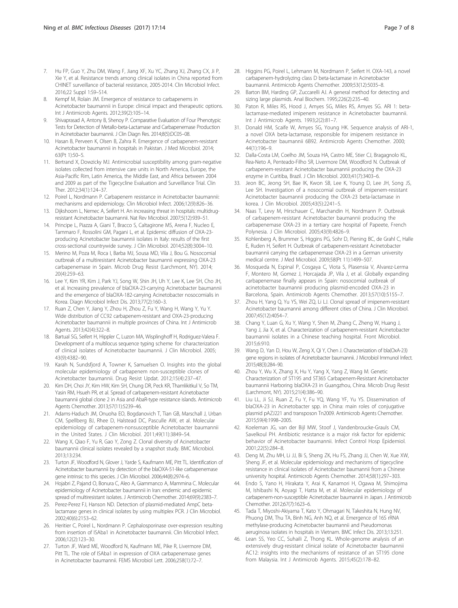- <span id="page-6-0"></span>7. Hu FP, Guo Y, Zhu DM, Wang F, Jiang XF, Xu YC, Zhang XJ, Zhang CX, Ji P, Xie Y, et al. Resistance trends among clinical isolates in China reported from CHINET surveillance of bacterial resistance, 2005-2014. Clin Microbiol Infect. 2016;22 Suppl 1:S9–S14.
- 8. Kempf M, Rolain JM. Emergence of resistance to carbapenems in Acinetobacter baumannii in Europe: clinical impact and therapeutic options. Int J Antimicrob Agents. 2012;39(2):105–14.
- Shivaprasad A, Antony B, Shenoy P. Comparative Evaluation of Four Phenotypic Tests for Detection of Metallo-beta-Lactamase and Carbapenemase Production in Acinetobacter baumannii. J Clin Diagn Res. 2014;8(5):DC05–08.
- 10. Hasan B, Perveen K, Olsen B, Zahra R. Emergence of carbapenem-resistant Acinetobacter baumannii in hospitals in Pakistan. J Med Microbiol. 2014; 63(Pt 1):50–5.
- 11. Bertrand X, Dowzicky MJ. Antimicrobial susceptibility among gram-negative isolates collected from intensive care units in North America, Europe, the Asia-Pacific Rim, Latin America, the Middle East, and Africa between 2004 and 2009 as part of the Tigecycline Evaluation and Surveillance Trial. Clin Ther. 2012;34(1):124–37.
- 12. Poirel L, Nordmann P. Carbapenem resistance in Acinetobacter baumannii: mechanisms and epidemiology. Clin Microbiol Infect. 2006;12(9):826–36.
- 13. Dijkshoorn L, Nemec A, Seifert H. An increasing threat in hospitals: multidrugresistant Acinetobacter baumannii. Nat Rev Microbiol. 2007;5(12):939–51.
- 14. Principe L, Piazza A, Giani T, Bracco S, Caltagirone MS, Arena F, Nucleo E, Tammaro F, Rossolini GM, Pagani L, et al. Epidemic diffusion of OXA-23 producing Acinetobacter baumannii isolates in Italy: results of the first cross-sectional countrywide survey. J Clin Microbiol. 2014;52(8):3004–10.
- 15. Merino M, Poza M, Roca I, Barba MJ, Sousa MD, Vila J, Bou G. Nosocomial outbreak of a multiresistant Acinetobacter baumannii expressing OXA-23 carbapenemase in Spain. Microb Drug Resist (Larchmont, NY). 2014; 20(4):259–63.
- 16. Lee Y, Kim YR, Kim J, Park YJ, Song W, Shin JH, Uh Y, Lee K, Lee SH, Cho JH, et al. Increasing prevalence of blaOXA-23-carrying Acinetobacter baumannii and the emergence of blaOXA-182-carrying Acinetobacter nosocomialis in Korea. Diagn Microbiol Infect Dis. 2013;77(2):160–3.
- 17. Ruan Z, Chen Y, Jiang Y, Zhou H, Zhou Z, Fu Y, Wang H, Wang Y, Yu Y. Wide distribution of CC92 carbapenem-resistant and OXA-23-producing Acinetobacter baumannii in multiple provinces of China. Int J Antimicrob Agents. 2013;42(4):322–8.
- 18. Bartual SG, Seifert H, Hippler C, Luzon MA, Wisplinghoff H, Rodriguez-Valera F. Development of a multilocus sequence typing scheme for characterization of clinical isolates of Acinetobacter baumannii. J Clin Microbiol. 2005; 43(9):4382–90.
- 19. Karah N, Sundsfjord A, Towner K, Samuelsen O. Insights into the global molecular epidemiology of carbapenem non-susceptible clones of Acinetobacter baumannii. Drug Resist Updat. 2012;15(4):237–47.
- 20. Kim DH, Choi JY, Kim HW, Kim SH, Chung DR, Peck KR, Thamlikitkul V, So TM, Yasin RM, Hsueh PR, et al. Spread of carbapenem-resistant Acinetobacter baumannii global clone 2 in Asia and AbaR-type resistance islands. Antimicrob Agents Chemother. 2013;57(11):5239–46.
- 21. Adams-Haduch JM, Onuoha EO, Bogdanovich T, Tian GB, Marschall J, Urban CM, Spellberg BJ, Rhee D, Halstead DC, Pasculle AW, et al. Molecular epidemiology of carbapenem-nonsusceptible Acinetobacter baumannii in the United States. J Clin Microbiol. 2011;49(11):3849–54.
- 22. Wang X, Qiao F, Yu R, Gao Y, Zong Z. Clonal diversity of Acinetobacter baumannii clinical isolates revealed by a snapshot study. BMC Microbiol. 2013;13:234.
- 23. Turton JF, Woodford N, Glover J, Yarde S, Kaufmann ME, Pitt TL. Identification of Acinetobacter baumannii by detection of the blaOXA-51-like carbapenemase gene intrinsic to this species. J Clin Microbiol. 2006;44(8):2974–6.
- 24. Hojabri Z, Pajand O, Bonura C, Aleo A, Giammanco A, Mammina C. Molecular epidemiology of Acinetobacter baumannii in Iran: endemic and epidemic spread of multiresistant isolates. J Antimicrob Chemother. 2014;69(9):2383–7.
- 25. Perez-Perez FJ, Hanson ND. Detection of plasmid-mediated AmpC betalactamase genes in clinical isolates by using multiplex PCR. J Clin Microbiol. 2002;40(6):2153–62.
- 26. Heritier C, Poirel L, Nordmann P. Cephalosporinase over-expression resulting from insertion of ISAba1 in Acinetobacter baumannii. Clin Microbiol Infect. 2006;12(2):123–30.
- 27. Turton JF, Ward ME, Woodford N, Kaufmann ME, Pike R, Livermore DM, Pitt TL. The role of ISAba1 in expression of OXA carbapenemase genes in Acinetobacter baumannii. FEMS Microbiol Lett. 2006;258(1):72–7.
- 28. Higgins PG, Poirel L, Lehmann M, Nordmann P, Seifert H. OXA-143, a novel carbapenem-hydrolyzing class D beta-lactamase in Acinetobacter baumannii. Antimicrob Agents Chemother. 2009;53(12):5035–8.
- 29. Barton BM, Harding GP, Zuccarelli AJ. A general method for detecting and sizing large plasmids. Anal Biochem. 1995;226(2):235–40.
- 30. Paton R, Miles RS, Hood J, Amyes SG, Miles RS, Amyes SG. ARI 1: betalactamase-mediated imipenem resistance in Acinetobacter baumannii. Int J Antimicrob Agents. 1993;2(2):81–7.
- 31. Donald HM, Scaife W, Amyes SG, Young HK. Sequence analysis of ARI-1, a novel OXA beta-lactamase, responsible for imipenem resistance in Acinetobacter baumannii 6B92. Antimicrob Agents Chemother. 2000; 44(1):196–9.
- 32. Dalla-Costa LM, Coelho JM, Souza HA, Castro ME, Stier CJ, Bragagnolo KL, Rea-Neto A, Penteado-Filho SR, Livermore DM, Woodford N. Outbreak of carbapenem-resistant Acinetobacter baumannii producing the OXA-23 enzyme in Curitiba, Brazil. J Clin Microbiol. 2003;41(7):3403–6.
- 33. Jeon BC, Jeong SH, Bae IK, Kwon SB, Lee K, Young D, Lee JH, Song JS, Lee SH. Investigation of a nosocomial outbreak of imipenem-resistant Acinetobacter baumannii producing the OXA-23 beta-lactamase in korea. J Clin Microbiol. 2005;43(5):2241–5.
- 34. Naas T, Levy M, Hirschauer C, Marchandin H, Nordmann P. Outbreak of carbapenem-resistant Acinetobacter baumannii producing the carbapenemase OXA-23 in a tertiary care hospital of Papeete, French Polynesia. J Clin Microbiol. 2005;43(9):4826–9.
- 35. Kohlenberg A, Brummer S, Higgins PG, Sohr D, Piening BC, de Grahl C, Halle E, Ruden H, Seifert H. Outbreak of carbapenem-resistant Acinetobacter baumannii carrying the carbapenemase OXA-23 in a German university medical centre. J Med Microbiol. 2009;58(Pt 11):1499–507.
- 36. Mosqueda N, Espinal P, Cosgaya C, Viota S, Plasensia V, Alvarez-Lerma F, Montero M, Gomez J, Horcajada JP, Vila J, et al. Globally expanding carbapenemase finally appears in Spain: nosocomial outbreak of acinetobacter baumannii producing plasmid-encoded OXA-23 in Barcelona, Spain. Antimicrob Agents Chemother. 2013;57(10):5155–7.
- 37. Zhou H, Yang Q, Yu YS, Wei ZQ, Li LJ. Clonal spread of imipenem-resistant Acinetobacter baumannii among different cities of China. J Clin Microbiol. 2007;45(12):4054–7.
- 38. Chang Y, Luan G, Xu Y, Wang Y, Shen M, Zhang C, Zheng W, Huang J, Yang J, Jia X, et al. Characterization of carbapenem-resistant Acinetobacter baumannii isolates in a Chinese teaching hospital. Front Microbiol. 2015;6:910.
- 39. Wang D, Yan D, Hou W, Zeng X, Qi Y, Chen J. Characterization of bla(OxA-23) gene regions in isolates of Acinetobacter baumannii. J Microbiol Immunol Infect. 2015;48(3):284–90.
- 40. Zhou Y, Wu X, Zhang X, Hu Y, Yang X, Yang Z, Wang M. Genetic Characterization of ST195 and ST365 Carbapenem-Resistant Acinetobacter baumannii Harboring blaOXA-23 in Guangzhou, China. Microb Drug Resist (Larchmont, NY). 2015;21(4):386–90.
- 41. Liu LL, Ji SJ, Ruan Z, Fu Y, Fu YQ, Wang YF, Yu YS. Dissemination of blaOXA-23 in Acinetobacter spp. in China: main roles of conjugative plasmid pAZJ221 and transposon Tn2009. Antimicrob Agents Chemother. 2015;59(4):1998–2005.
- 42. Koeleman JG, van der Bijl MW, Stoof J, Vandenbroucke-Grauls CM, Savelkoul PH. Antibiotic resistance is a major risk factor for epidemic behavior of Acinetobacter baumannii. Infect Control Hosp Epidemiol. 2001;22(5):284–8.
- 43. Deng M, Zhu MH, Li JJ, Bi S, Sheng ZK, Hu FS, Zhang JJ, Chen W, Xue XW, Sheng JF, et al. Molecular epidemiology and mechanisms of tigecycline resistance in clinical isolates of Acinetobacter baumannii from a Chinese university hospital. Antimicrob Agents Chemother. 2014;58(1):297–303.
- 44. Endo S, Yano H, Hirakata Y, Arai K, Kanamori H, Ogawa M, Shimojima M, Ishibashi N, Aoyagi T, Hatta M, et al. Molecular epidemiology of carbapenem-non-susceptible Acinetobacter baumannii in Japan. J Antimicrob Chemother. 2012;67(7):1623–6.
- 45. Tada T, Miyoshi-Akiyama T, Kato Y, Ohmagari N, Takeshita N, Hung NV, Phuong DM, Thu TA, Binh NG, Anh NQ, et al. Emergence of 16S rRNA methylase-producing Acinetobacter baumannii and Pseudomonas aeruginosa isolates in hospitals in Vietnam. BMC Infect Dis. 2013;13:251.
- 46. Lean SS, Yeo CC, Suhaili Z, Thong KL. Whole-genome analysis of an extensively drug-resistant clinical isolate of Acinetobacter baumannii AC12: insights into the mechanisms of resistance of an ST195 clone from Malaysia. Int J Antimicrob Agents. 2015;45(2):178–82.